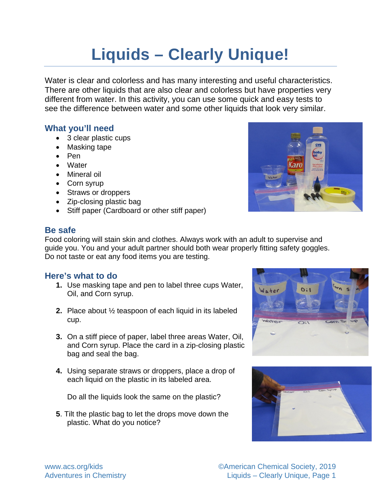# **Liquids – Clearly Unique!**

Water is clear and colorless and has many interesting and useful characteristics. There are other liquids that are also clear and colorless but have properties very different from water. In this activity, you can use some quick and easy tests to see the difference between water and some other liquids that look very similar.

# **What you'll need**

- 3 clear plastic cups
- Masking tape
- Pen
- Water
- Mineral oil
- Corn syrup
- Straws or droppers
- Zip-closing plastic bag
- Stiff paper (Cardboard or other stiff paper)



Food coloring will stain skin and clothes. Always work with an adult to supervise and guide you. You and your adult partner should both wear properly fitting safety goggles.

Do not taste or eat any food items you are testing.

#### **Here's what to do**

- **1.** Use masking tape and pen to label three cups Water, Oil, and Corn syrup.
- **2.** Place about ½ teaspoon of each liquid in its labeled cup.
- **3.** On a stiff piece of paper, label three areas Water, Oil, and Corn syrup. Place the card in a zip-closing plastic bag and seal the bag.
- **4.** Using separate straws or droppers, place a drop of each liquid on the plastic in its labeled area.

Do all the liquids look the same on the plastic?

**5**. Tilt the plastic bag to let the drops move down the plastic. What do you notice?



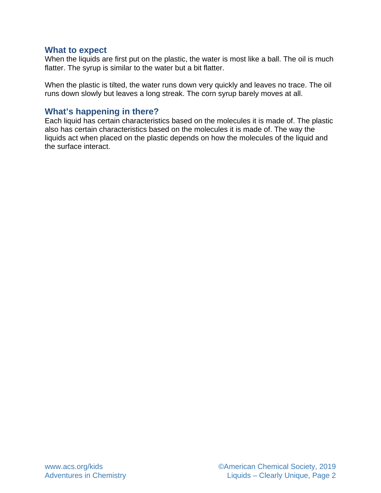#### **What to expect**

When the liquids are first put on the plastic, the water is most like a ball. The oil is much flatter. The syrup is similar to the water but a bit flatter.

When the plastic is tilted, the water runs down very quickly and leaves no trace. The oil runs down slowly but leaves a long streak. The corn syrup barely moves at all.

#### **What's happening in there?**

Each liquid has certain characteristics based on the molecules it is made of. The plastic also has certain characteristics based on the molecules it is made of. The way the liquids act when placed on the plastic depends on how the molecules of the liquid and the surface interact.